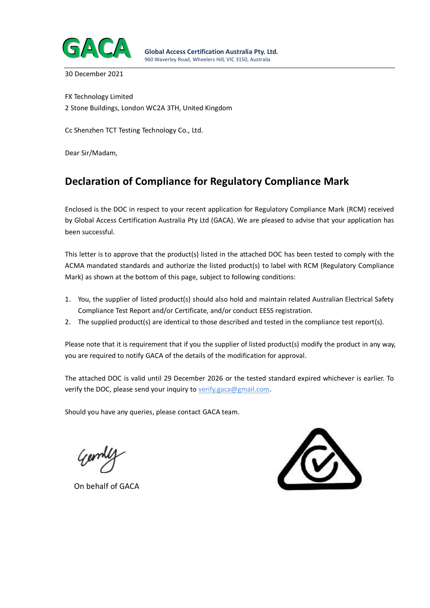

30 December 2021

FX Technology Limited 2 Stone Buildings, London WC2A 3TH, United Kingdom

Cc Shenzhen TCT Testing Technology Co., Ltd.

Dear Sir/Madam,

# **Declaration of Compliance for Regulatory Compliance Mark**

Enclosed is the DOC in respect to your recent application for Regulatory Compliance Mark (RCM) received by Global Access Certification Australia Pty Ltd (GACA). We are pleased to advise that your application has been successful.

This letter is to approve that the product(s) listed in the attached DOC has been tested to comply with the ACMA mandated standards and authorize the listed product(s) to label with RCM (Regulatory Compliance Mark) as shown at the bottom of this page, subject to following conditions:

- 1. You, the supplier of listed product(s) should also hold and maintain related Australian Electrical Safety Compliance Test Report and/or Certificate, and/or conduct EESS registration.
- 2. The supplied product(s) are identical to those described and tested in the compliance test report(s).

Please note that it is requirement that if you the supplier of listed product(s) modify the product in any way, you are required to notify GACA of the details of the modification for approval.

The attached DOC is valid until 29 December 2026 or the tested standard expired whichever is earlier. To verify the DOC, please send your inquiry to verify.gaca@gmail.com.

Should you have any queries, please contact GACA team.

On behalf of GACA

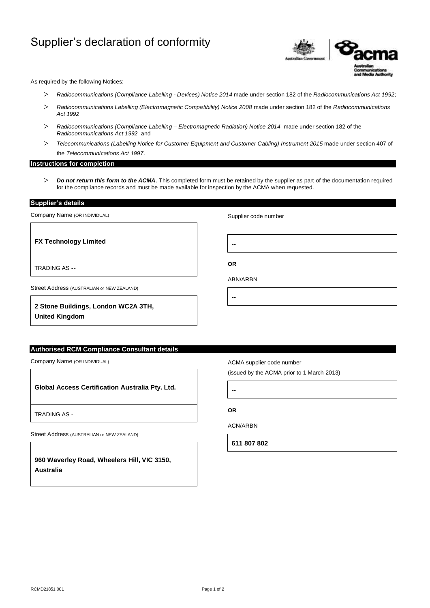# Supplier's declaration of conformity



As required by the following Notices:

- *Radiocommunications (Compliance Labelling - Devices) Notice 2014* made under section 182 of the *Radiocommunications Act 1992*;
- *Radiocommunications Labelling (Electromagnetic Compatibility) Notice 2008* made under section 182 of the *Radiocommunications Act 1992*
- *Radiocommunications (Compliance Labelling – Electromagnetic Radiation) Notice 2014* made under section 182 of the *Radiocommunications Act 1992* and
- *Telecommunications (Labelling Notice for Customer Equipment and Customer Cabling) Instrument 2015* made under section 407 of the *Telecommunications Act 1997*.

### **Instructions for completion**

 *Do not return this form to the ACMA*. This completed form must be retained by the supplier as part of the documentation required for the compliance records and must be made available for inspection by the ACMA when requested.

**Supplier's details** 

Company Name (OR INDIVIDUAL)

**FX Technology Limited**

Supplier code number

**--**

**OR**

**--**

TRADING AS **--**

ABN/ARBN

Street Address (AUSTRALIAN or NEW ZEALAND)

**2 Stone Buildings, London WC2A 3TH, United Kingdom**

**Authorised RCM Compliance Consultant details** 

Company Name (OR INDIVIDUAL)

**Global Access Certification Australia Pty. Ltd.**

TRADING AS -

Street Address (AUSTRALIAN or NEW ZEALAND)

**960 Waverley Road, Wheelers Hill, VIC 3150, Australia**

ACMA supplier code number

(issued by the ACMA prior to 1 March 2013)

**--**

**OR**

ACN/ARBN

**611 807 802**